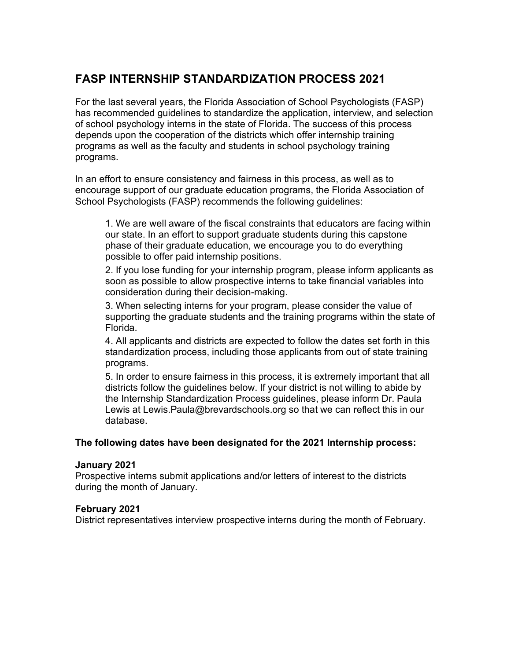# **FASP INTERNSHIP STANDARDIZATION PROCESS 2021**

For the last several years, the Florida Association of School Psychologists (FASP) has recommended guidelines to standardize the application, interview, and selection of school psychology interns in the state of Florida. The success of this process depends upon the cooperation of the districts which offer internship training programs as well as the faculty and students in school psychology training programs.

In an effort to ensure consistency and fairness in this process, as well as to encourage support of our graduate education programs, the Florida Association of School Psychologists (FASP) recommends the following guidelines:

1. We are well aware of the fiscal constraints that educators are facing within our state. In an effort to support graduate students during this capstone phase of their graduate education, we encourage you to do everything possible to offer paid internship positions.

2. If you lose funding for your internship program, please inform applicants as soon as possible to allow prospective interns to take financial variables into consideration during their decision-making.

3. When selecting interns for your program, please consider the value of supporting the graduate students and the training programs within the state of Florida.

4. All applicants and districts are expected to follow the dates set forth in this standardization process, including those applicants from out of state training programs.

5. In order to ensure fairness in this process, it is extremely important that all districts follow the guidelines below. If your district is not willing to abide by the Internship Standardization Process guidelines, please inform Dr. Paula Lewis at Lewis.Paula@brevardschools.org so that we can reflect this in our database.

## **The following dates have been designated for the 2021 Internship process:**

#### **January 2021**

Prospective interns submit applications and/or letters of interest to the districts during the month of January.

## **February 2021**

District representatives interview prospective interns during the month of February.